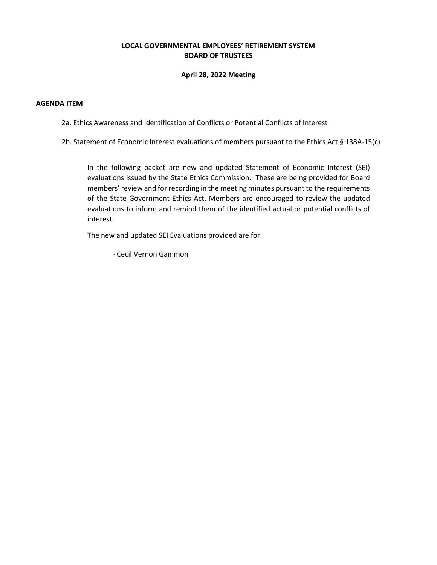### **LOCAL GOVERNMENTAL EMPLOYEES' RETIREMENT SYSTEM BOARD OF TRUSTEES**

### **April 28, 2022 Meeting**

#### **AGENDA ITEM**

2a. Ethics Awareness and Identification of Conflicts or Potential Conflicts of Interest

2b. Statement of Economic Interest evaluations of members pursuant to the Ethics Act § 138A-15(c)

In the following packet are new and updated Statement of Economic Interest (SEI) evaluations issued by the State Ethics Commission. These are being provided for Board members' review and for recording in the meeting minutes pursuant to the requirements of the State Government Ethics Act. Members are encouraged to review the updated evaluations to inform and remind them of the identified actual or potential conflicts of interest.

The new and updated SEI Evaluations provided are for:

· Cecil Vernon Gammon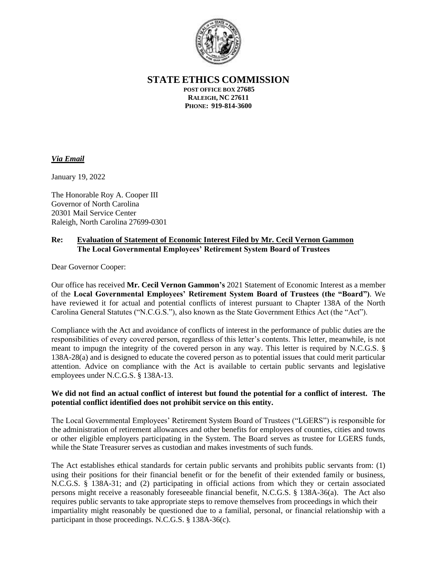

**STATE ETHICS COMMISSION**

**POST OFFICE BOX 27685 RALEIGH, NC 27611 PHONE: 919-814-3600**

# *Via Email*

January 19, 2022

The Honorable Roy A. Cooper III Governor of North Carolina 20301 Mail Service Center Raleigh, North Carolina 27699-0301

## **Re: Evaluation of Statement of Economic Interest Filed by Mr. Cecil Vernon Gammon The Local Governmental Employees' Retirement System Board of Trustees**

Dear Governor Cooper:

Our office has received **Mr. Cecil Vernon Gammon's** 2021 Statement of Economic Interest as a member of the **Local Governmental Employees' Retirement System Board of Trustees (the "Board")**. We have reviewed it for actual and potential conflicts of interest pursuant to Chapter 138A of the North Carolina General Statutes ("N.C.G.S."), also known as the State Government Ethics Act (the "Act").

Compliance with the Act and avoidance of conflicts of interest in the performance of public duties are the responsibilities of every covered person, regardless of this letter's contents. This letter, meanwhile, is not meant to impugn the integrity of the covered person in any way. This letter is required by N.C.G.S. § 138A-28(a) and is designed to educate the covered person as to potential issues that could merit particular attention. Advice on compliance with the Act is available to certain public servants and legislative employees under N.C.G.S. § 138A-13.

## **We did not find an actual conflict of interest but found the potential for a conflict of interest. The potential conflict identified does not prohibit service on this entity.**

The Local Governmental Employees' Retirement System Board of Trustees ("LGERS") is responsible for the administration of retirement allowances and other benefits for employees of counties, cities and towns or other eligible employers participating in the System. The Board serves as trustee for LGERS funds, while the State Treasurer serves as custodian and makes investments of such funds.

The Act establishes ethical standards for certain public servants and prohibits public servants from: (1) using their positions for their financial benefit or for the benefit of their extended family or business, N.C.G.S. § 138A-31; and (2) participating in official actions from which they or certain associated persons might receive a reasonably foreseeable financial benefit, N.C.G.S. § 138A-36(a). The Act also requires public servants to take appropriate steps to remove themselves from proceedings in which their impartiality might reasonably be questioned due to a familial, personal, or financial relationship with a participant in those proceedings. N.C.G.S. § 138A-36(c).